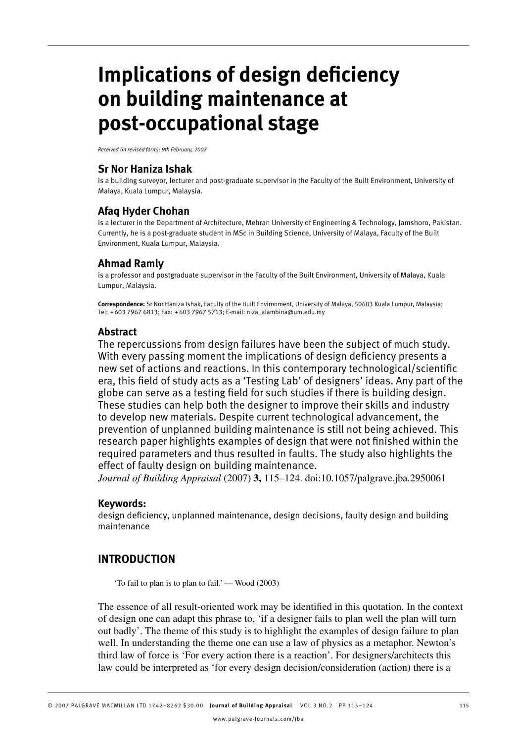# **Implications of design deficiency on building maintenance at post-occupational stage**

 *Received (in revised form): 9th February, 2007*

## **Sr Nor Haniza Ishak**

 is a building surveyor, lecturer and post-graduate supervisor in the Faculty of the Built Environment, University of Malaya, Kuala Lumpur, Malaysia.

## **Afaq Hyder Chohan**

 is a lecturer in the Department of Architecture, Mehran University of Engineering & Technology, Jamshoro, Pakistan. Currently, he is a post-graduate student in MSc in Building Science, University of Malaya, Faculty of the Built Environment, Kuala Lumpur, Malaysia.

### **Ahmad Ramly**

 is a professor and postgraduate supervisor in the Faculty of the Built Environment, University of Malaya, Kuala Lumpur, Malaysia.

**Correspondence:** Sr Nor Haniza Ishak , Faculty of the Built Environment, University of Malaya, 50603 Kuala Lumpur, Malaysia; Tel: + 603 7967 6813; Fax: + 603 7967 5713; E-mail: niza\_alambina@um.edu.my

### **Abstract**

 The repercussions from design failures have been the subject of much study. With every passing moment the implications of design deficiency presents a new set of actions and reactions. In this contemporary technological/scientific era, this field of study acts as a 'Testing Lab' of designers' ideas. Any part of the globe can serve as a testing field for such studies if there is building design. These studies can help both the designer to improve their skills and industry to develop new materials. Despite current technological advancement, the prevention of unplanned building maintenance is still not being achieved. This research paper highlights examples of design that were not finished within the required parameters and thus resulted in faults. The study also highlights the effect of faulty design on building maintenance.

*Journal of Building Appraisal* (2007) **3,** 115 – 124. doi: 10.1057/palgrave.jba.2950061

#### **Keywords:**

design deficiency, unplanned maintenance, design decisions, faulty design and building maintenance

## **INTRODUCTION**

' To fail to plan is to plan to fail. ' — Wood (2003)

The essence of all result-oriented work may be identified in this quotation. In the context of design one can adapt this phrase to, 'if a designer fails to plan well the plan will turn out badly'. The theme of this study is to highlight the examples of design failure to plan well. In understanding the theme one can use a law of physics as a metaphor. Newton's third law of force is 'For every action there is a reaction'. For designers/architects this law could be interpreted as 'for every design decision/consideration (action) there is a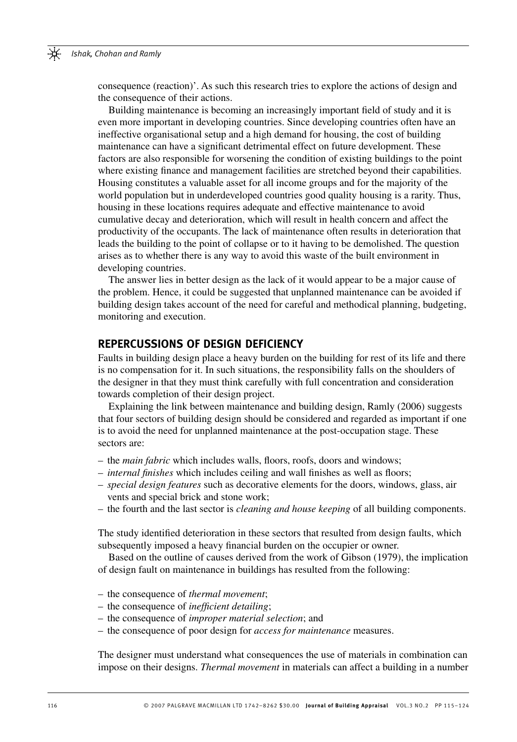consequence (reaction)'. As such this research tries to explore the actions of design and the consequence of their actions.

Building maintenance is becoming an increasingly important field of study and it is even more important in developing countries. Since developing countries often have an ineffective organisational setup and a high demand for housing, the cost of building maintenance can have a significant detrimental effect on future development. These factors are also responsible for worsening the condition of existing buildings to the point where existing finance and management facilities are stretched beyond their capabilities. Housing constitutes a valuable asset for all income groups and for the majority of the world population but in underdeveloped countries good quality housing is a rarity. Thus, housing in these locations requires adequate and effective maintenance to avoid cumulative decay and deterioration, which will result in health concern and affect the productivity of the occupants. The lack of maintenance often results in deterioration that leads the building to the point of collapse or to it having to be demolished. The question arises as to whether there is any way to avoid this waste of the built environment in developing countries.

 The answer lies in better design as the lack of it would appear to be a major cause of the problem. Hence, it could be suggested that unplanned maintenance can be avoided if building design takes account of the need for careful and methodical planning, budgeting, monitoring and execution.

## **REPERCUSSIONS OF DESIGN DEFICIENCY**

 Faults in building design place a heavy burden on the building for rest of its life and there is no compensation for it. In such situations, the responsibility falls on the shoulders of the designer in that they must think carefully with full concentration and consideration towards completion of their design project.

 Explaining the link between maintenance and building design, Ramly (2006) suggests that four sectors of building design should be considered and regarded as important if one is to avoid the need for unplanned maintenance at the post-occupation stage. These sectors are:

- the *main fabric* which includes walls, floors, roofs, doors and windows;
- internal finishes which includes ceiling and wall finishes as well as floors;
- *special design features* such as decorative elements for the doors, windows, glass, air vents and special brick and stone work;
- the fourth and the last sector is *cleaning and house keeping* of all building components.

The study identified deterioration in these sectors that resulted from design faults, which subsequently imposed a heavy financial burden on the occupier or owner.

Based on the outline of causes derived from the work of Gibson (1979), the implication of design fault on maintenance in buildings has resulted from the following:

- the consequence of *thermal movement*;
- the consequence of *inefficient detailing*;
- the consequence of *improper material selection*; and
- the consequence of poor design for *access for maintenance* measures.

 The designer must understand what consequences the use of materials in combination can impose on their designs. *Thermal movement* in materials can affect a building in a number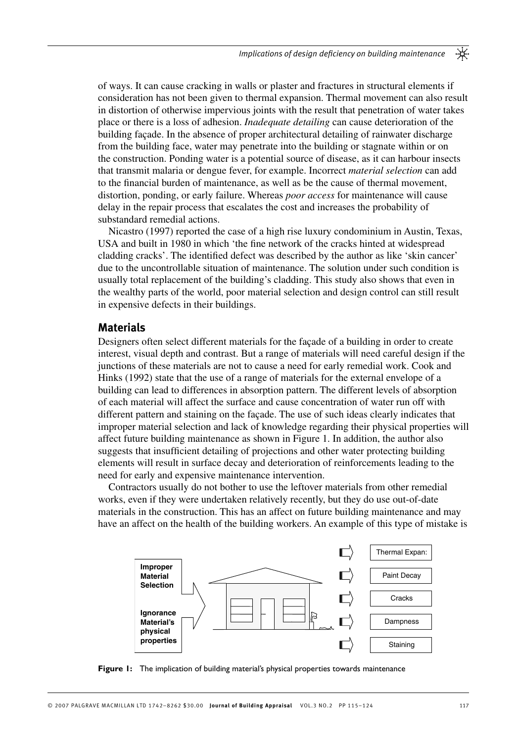of ways. It can cause cracking in walls or plaster and fractures in structural elements if consideration has not been given to thermal expansion. Thermal movement can also result in distortion of otherwise impervious joints with the result that penetration of water takes place or there is a loss of adhesion. *Inadequate detailing* can cause deterioration of the building facade. In the absence of proper architectural detailing of rainwater discharge from the building face, water may penetrate into the building or stagnate within or on the construction. Ponding water is a potential source of disease, as it can harbour insects that transmit malaria or dengue fever, for example. Incorrect *material selection* can add to the financial burden of maintenance, as well as be the cause of thermal movement. distortion, ponding, or early failure. Whereas *poor access* for maintenance will cause delay in the repair process that escalates the cost and increases the probability of substandard remedial actions.

 Nicastro (1997) reported the case of a high rise luxury condominium in Austin, Texas, USA and built in 1980 in which 'the fine network of the cracks hinted at widespread cladding cracks'. The identified defect was described by the author as like 'skin cancer' due to the uncontrollable situation of maintenance. The solution under such condition is usually total replacement of the building's cladding. This study also shows that even in the wealthy parts of the world, poor material selection and design control can still result in expensive defects in their buildings.

## **Materials**

Designers often select different materials for the façade of a building in order to create interest, visual depth and contrast. But a range of materials will need careful design if the junctions of these materials are not to cause a need for early remedial work. Cook and Hinks (1992) state that the use of a range of materials for the external envelope of a building can lead to differences in absorption pattern. The different levels of absorption of each material will affect the surface and cause concentration of water run off with different pattern and staining on the façade. The use of such ideas clearly indicates that improper material selection and lack of knowledge regarding their physical properties will affect future building maintenance as shown in Figure 1 . In addition, the author also suggests that insufficient detailing of projections and other water protecting building elements will result in surface decay and deterioration of reinforcements leading to the need for early and expensive maintenance intervention.

 Contractors usually do not bother to use the leftover materials from other remedial works, even if they were undertaken relatively recently, but they do use out-of-date materials in the construction. This has an affect on future building maintenance and may have an affect on the health of the building workers. An example of this type of mistake is



**Figure 1:** The implication of building material's physical properties towards maintenance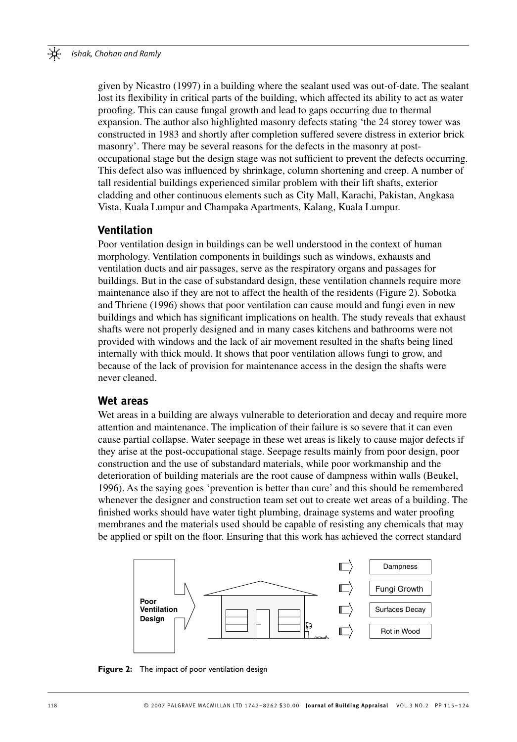

given by Nicastro (1997) in a building where the sealant used was out-of-date. The sealant lost its flexibility in critical parts of the building, which affected its ability to act as water proofing. This can cause fungal growth and lead to gaps occurring due to thermal expansion. The author also highlighted masonry defects stating 'the 24 storey tower was constructed in 1983 and shortly after completion suffered severe distress in exterior brick masonry'. There may be several reasons for the defects in the masonry at postoccupational stage but the design stage was not sufficient to prevent the defects occurring. This defect also was influenced by shrinkage, column shortening and creep. A number of tall residential buildings experienced similar problem with their lift shafts, exterior cladding and other continuous elements such as City Mall, Karachi, Pakistan, Angkasa Vista, Kuala Lumpur and Champaka Apartments, Kalang, Kuala Lumpur.

### **Ventilation**

 Poor ventilation design in buildings can be well understood in the context of human morphology. Ventilation components in buildings such as windows, exhausts and ventilation ducts and air passages, serve as the respiratory organs and passages for buildings. But in the case of substandard design, these ventilation channels require more maintenance also if they are not to affect the health of the residents (Figure 2). Sobotka and Thriene (1996) shows that poor ventilation can cause mould and fungi even in new buildings and which has significant implications on health. The study reveals that exhaust shafts were not properly designed and in many cases kitchens and bathrooms were not provided with windows and the lack of air movement resulted in the shafts being lined internally with thick mould. It shows that poor ventilation allows fungi to grow, and because of the lack of provision for maintenance access in the design the shafts were never cleaned.

#### **Wet areas**

 Wet areas in a building are always vulnerable to deterioration and decay and require more attention and maintenance. The implication of their failure is so severe that it can even cause partial collapse. Water seepage in these wet areas is likely to cause major defects if they arise at the post-occupational stage. Seepage results mainly from poor design, poor construction and the use of substandard materials, while poor workmanship and the deterioration of building materials are the root cause of dampness within walls (Beukel, 1996). As the saying goes 'prevention is better than cure' and this should be remembered whenever the designer and construction team set out to create wet areas of a building. The finished works should have water tight plumbing, drainage systems and water proofing membranes and the materials used should be capable of resisting any chemicals that may be applied or spilt on the floor. Ensuring that this work has achieved the correct standard



**Figure 2:** The impact of poor ventilation design

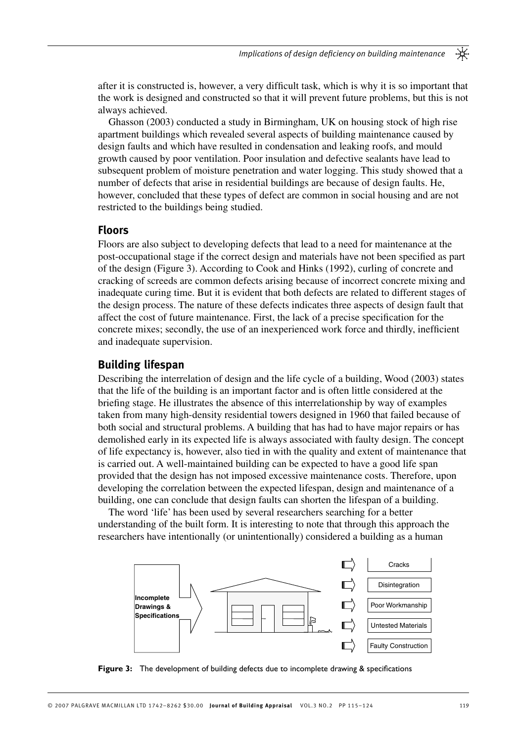after it is constructed is, however, a very difficult task, which is why it is so important that the work is designed and constructed so that it will prevent future problems, but this is not always achieved.

 Ghasson (2003) conducted a study in Birmingham, UK on housing stock of high rise apartment buildings which revealed several aspects of building maintenance caused by design faults and which have resulted in condensation and leaking roofs, and mould growth caused by poor ventilation. Poor insulation and defective sealants have lead to subsequent problem of moisture penetration and water logging. This study showed that a number of defects that arise in residential buildings are because of design faults. He, however, concluded that these types of defect are common in social housing and are not restricted to the buildings being studied.

#### **Floors**

 Floors are also subject to developing defects that lead to a need for maintenance at the post-occupational stage if the correct design and materials have not been specified as part of the design ( Figure 3 ). According to Cook and Hinks (1992) , curling of concrete and cracking of screeds are common defects arising because of incorrect concrete mixing and inadequate curing time. But it is evident that both defects are related to different stages of the design process. The nature of these defects indicates three aspects of design fault that affect the cost of future maintenance. First, the lack of a precise specification for the concrete mixes; secondly, the use of an inexperienced work force and thirdly, inefficient and inadequate supervision.

## **Building lifespan**

 Describing the interrelation of design and the life cycle of a building, Wood (2003) states that the life of the building is an important factor and is often little considered at the briefing stage. He illustrates the absence of this interrelationship by way of examples taken from many high-density residential towers designed in 1960 that failed because of both social and structural problems. A building that has had to have major repairs or has demolished early in its expected life is always associated with faulty design. The concept of life expectancy is, however, also tied in with the quality and extent of maintenance that is carried out. A well-maintained building can be expected to have a good life span provided that the design has not imposed excessive maintenance costs. Therefore, upon developing the correlation between the expected lifespan, design and maintenance of a building, one can conclude that design faults can shorten the lifespan of a building.

The word 'life' has been used by several researchers searching for a better understanding of the built form. It is interesting to note that through this approach the researchers have intentionally (or unintentionally) considered a building as a human



Figure 3: The development of building defects due to incomplete drawing & specifications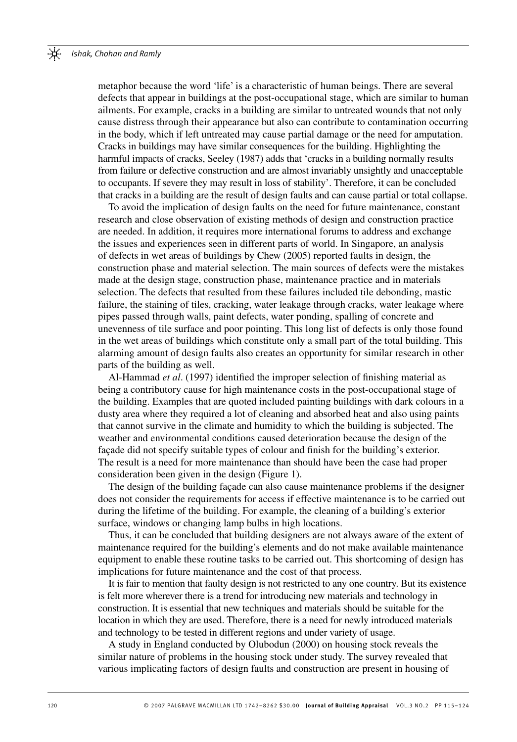metaphor because the word 'life' is a characteristic of human beings. There are several defects that appear in buildings at the post-occupational stage, which are similar to human ailments. For example, cracks in a building are similar to untreated wounds that not only cause distress through their appearance but also can contribute to contamination occurring in the body, which if left untreated may cause partial damage or the need for amputation. Cracks in buildings may have similar consequences for the building. Highlighting the harmful impacts of cracks, Seeley (1987) adds that 'cracks in a building normally results from failure or defective construction and are almost invariably unsightly and unacceptable to occupants. If severe they may result in loss of stability ' . Therefore, it can be concluded that cracks in a building are the result of design faults and can cause partial or total collapse.

 To avoid the implication of design faults on the need for future maintenance, constant research and close observation of existing methods of design and construction practice are needed. In addition, it requires more international forums to address and exchange the issues and experiences seen in different parts of world. In Singapore, an analysis of defects in wet areas of buildings by Chew (2005) reported faults in design, the construction phase and material selection. The main sources of defects were the mistakes made at the design stage, construction phase, maintenance practice and in materials selection. The defects that resulted from these failures included tile debonding, mastic failure, the staining of tiles, cracking, water leakage through cracks, water leakage where pipes passed through walls, paint defects, water ponding, spalling of concrete and unevenness of tile surface and poor pointing. This long list of defects is only those found in the wet areas of buildings which constitute only a small part of the total building. This alarming amount of design faults also creates an opportunity for similar research in other parts of the building as well.

Al-Hammad *et al.* (1997) identified the improper selection of finishing material as being a contributory cause for high maintenance costs in the post-occupational stage of the building. Examples that are quoted included painting buildings with dark colours in a dusty area where they required a lot of cleaning and absorbed heat and also using paints that cannot survive in the climate and humidity to which the building is subjected. The weather and environmental conditions caused deterioration because the design of the fa cade did not specify suitable types of colour and finish for the building's exterior. The result is a need for more maintenance than should have been the case had proper consideration been given in the design (Figure 1).

The design of the building facade can also cause maintenance problems if the designer does not consider the requirements for access if effective maintenance is to be carried out during the lifetime of the building. For example, the cleaning of a building's exterior surface, windows or changing lamp bulbs in high locations.

 Thus, it can be concluded that building designers are not always aware of the extent of maintenance required for the building's elements and do not make available maintenance equipment to enable these routine tasks to be carried out. This shortcoming of design has implications for future maintenance and the cost of that process.

 It is fair to mention that faulty design is not restricted to any one country. But its existence is felt more wherever there is a trend for introducing new materials and technology in construction. It is essential that new techniques and materials should be suitable for the location in which they are used. Therefore, there is a need for newly introduced materials and technology to be tested in different regions and under variety of usage.

 A study in England conducted by Olubodun (2000) on housing stock reveals the similar nature of problems in the housing stock under study. The survey revealed that various implicating factors of design faults and construction are present in housing of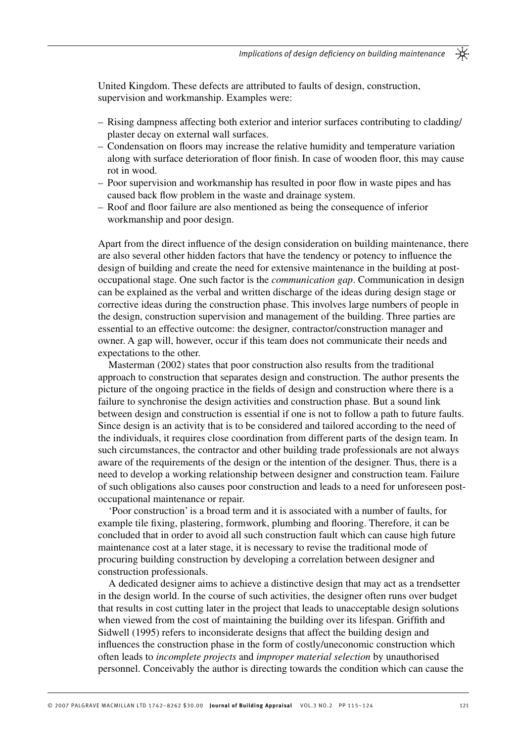United Kingdom. These defects are attributed to faults of design, construction, supervision and workmanship. Examples were:

- Rising dampness affecting both exterior and interior surfaces contributing to cladding/ plaster decay on external wall surfaces.
- Condensation on floors may increase the relative humidity and temperature variation along with surface deterioration of floor finish. In case of wooden floor, this may cause rot in wood.
- Poor supervision and workmanship has resulted in poor flow in waste pipes and has caused back flow problem in the waste and drainage system.
- Roof and floor failure are also mentioned as being the consequence of inferior workmanship and poor design.

Apart from the direct influence of the design consideration on building maintenance, there are also several other hidden factors that have the tendency or potency to influence the design of building and create the need for extensive maintenance in the building at postoccupational stage. One such factor is the *communication gap* . Communication in design can be explained as the verbal and written discharge of the ideas during design stage or corrective ideas during the construction phase. This involves large numbers of people in the design, construction supervision and management of the building. Three parties are essential to an effective outcome: the designer, contractor/construction manager and owner. A gap will, however, occur if this team does not communicate their needs and expectations to the other.

 Masterman (2002) states that poor construction also results from the traditional approach to construction that separates design and construction. The author presents the picture of the ongoing practice in the fields of design and construction where there is a failure to synchronise the design activities and construction phase. But a sound link between design and construction is essential if one is not to follow a path to future faults. Since design is an activity that is to be considered and tailored according to the need of the individuals, it requires close coordination from different parts of the design team. In such circumstances, the contractor and other building trade professionals are not always aware of the requirements of the design or the intention of the designer. Thus, there is a need to develop a working relationship between designer and construction team. Failure of such obligations also causes poor construction and leads to a need for unforeseen postoccupational maintenance or repair.

 ' Poor construction ' is a broad term and it is associated with a number of faults, for example tile fixing, plastering, formwork, plumbing and flooring. Therefore, it can be concluded that in order to avoid all such construction fault which can cause high future maintenance cost at a later stage, it is necessary to revise the traditional mode of procuring building construction by developing a correlation between designer and construction professionals.

 A dedicated designer aims to achieve a distinctive design that may act as a trendsetter in the design world. In the course of such activities, the designer often runs over budget that results in cost cutting later in the project that leads to unacceptable design solutions when viewed from the cost of maintaining the building over its lifespan. Griffith and Sidwell (1995) refers to inconsiderate designs that affect the building design and influences the construction phase in the form of costly/uneconomic construction which often leads to *incomplete projects* and *improper material selection* by unauthorised personnel. Conceivably the author is directing towards the condition which can cause the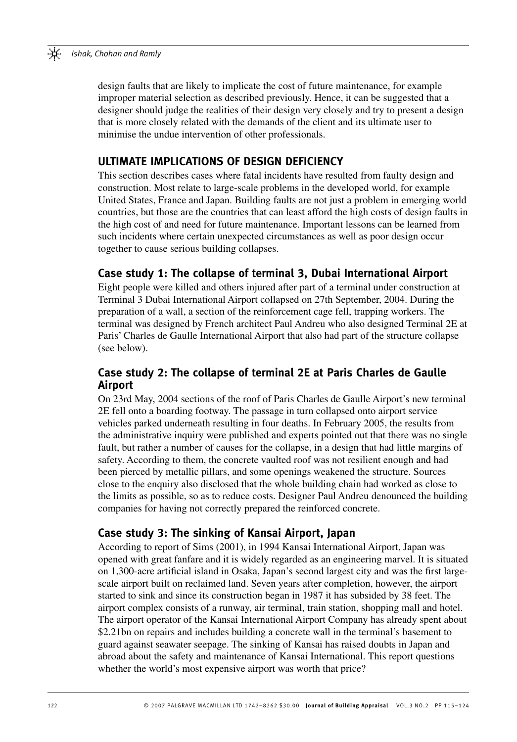

design faults that are likely to implicate the cost of future maintenance, for example improper material selection as described previously. Hence, it can be suggested that a designer should judge the realities of their design very closely and try to present a design that is more closely related with the demands of the client and its ultimate user to minimise the undue intervention of other professionals.

## **ULTIMATE IMPLICATIONS OF DESIGN DEFICIENCY**

 This section describes cases where fatal incidents have resulted from faulty design and construction. Most relate to large-scale problems in the developed world, for example United States, France and Japan. Building faults are not just a problem in emerging world countries, but those are the countries that can least afford the high costs of design faults in the high cost of and need for future maintenance. Important lessons can be learned from such incidents where certain unexpected circumstances as well as poor design occur together to cause serious building collapses.

## **Case study 1: The collapse of terminal 3, Dubai International Airport**

 Eight people were killed and others injured after part of a terminal under construction at Terminal 3 Dubai International Airport collapsed on 27th September, 2004. During the preparation of a wall, a section of the reinforcement cage fell, trapping workers. The terminal was designed by French architect Paul Andreu who also designed Terminal 2E at Paris' Charles de Gaulle International Airport that also had part of the structure collapse (see below).

## **Case study 2: The collapse of terminal 2E at Paris Charles de Gaulle Airport**

On 23rd May, 2004 sections of the roof of Paris Charles de Gaulle Airport's new terminal 2E fell onto a boarding footway. The passage in turn collapsed onto airport service vehicles parked underneath resulting in four deaths. In February 2005, the results from the administrative inquiry were published and experts pointed out that there was no single fault, but rather a number of causes for the collapse, in a design that had little margins of safety. According to them, the concrete vaulted roof was not resilient enough and had been pierced by metallic pillars, and some openings weakened the structure. Sources close to the enquiry also disclosed that the whole building chain had worked as close to the limits as possible, so as to reduce costs. Designer Paul Andreu denounced the building companies for having not correctly prepared the reinforced concrete.

## **Case study 3: The sinking of Kansai Airport, Japan**

 According to report of Sims (2001) , in 1994 Kansai International Airport, Japan was opened with great fanfare and it is widely regarded as an engineering marvel. It is situated on 1,300-acre artificial island in Osaka, Japan's second largest city and was the first largescale airport built on reclaimed land. Seven years after completion, however, the airport started to sink and since its construction began in 1987 it has subsided by 38 feet. The airport complex consists of a runway, air terminal, train station, shopping mall and hotel. The airport operator of the Kansai International Airport Company has already spent about \$2.21bn on repairs and includes building a concrete wall in the terminal's basement to guard against seawater seepage. The sinking of Kansai has raised doubts in Japan and abroad about the safety and maintenance of Kansai International. This report questions whether the world's most expensive airport was worth that price?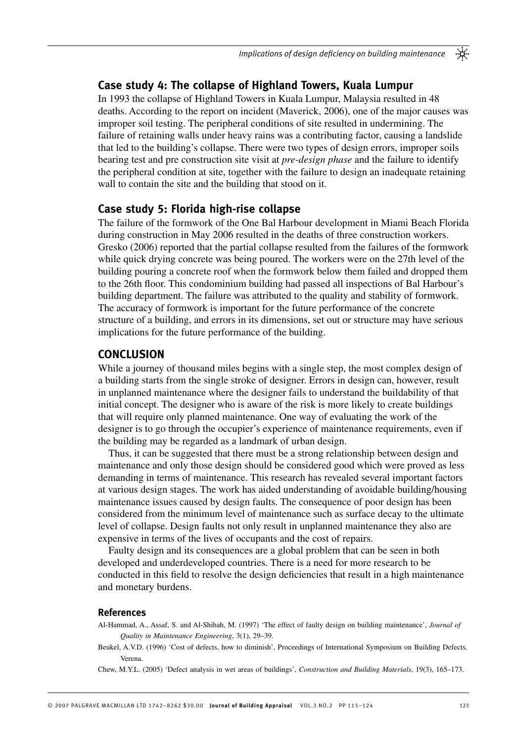## **Case study 4: The collapse of Highland Towers, Kuala Lumpur**

 In 1993 the collapse of Highland Towers in Kuala Lumpur, Malaysia resulted in 48 deaths. According to the report on incident (Maverick, 2006), one of the major causes was improper soil testing. The peripheral conditions of site resulted in undermining. The failure of retaining walls under heavy rains was a contributing factor, causing a landslide that led to the building's collapse. There were two types of design errors, improper soils bearing test and pre construction site visit at *pre-design phase* and the failure to identify the peripheral condition at site, together with the failure to design an inadequate retaining wall to contain the site and the building that stood on it.

#### **Case study 5: Florida high-rise collapse**

 The failure of the formwork of the One Bal Harbour development in Miami Beach Florida during construction in May 2006 resulted in the deaths of three construction workers. Gresko (2006) reported that the partial collapse resulted from the failures of the formwork while quick drying concrete was being poured. The workers were on the 27th level of the building pouring a concrete roof when the formwork below them failed and dropped them to the 26th floor. This condominium building had passed all inspections of Bal Harbour's building department. The failure was attributed to the quality and stability of formwork. The accuracy of formwork is important for the future performance of the concrete structure of a building, and errors in its dimensions, set out or structure may have serious implications for the future performance of the building.

#### **CONCLUSION**

While a journey of thousand miles begins with a single step, the most complex design of a building starts from the single stroke of designer. Errors in design can, however, result in unplanned maintenance where the designer fails to understand the buildability of that initial concept. The designer who is aware of the risk is more likely to create buildings that will require only planned maintenance. One way of evaluating the work of the designer is to go through the occupier's experience of maintenance requirements, even if the building may be regarded as a landmark of urban design.

 Thus, it can be suggested that there must be a strong relationship between design and maintenance and only those design should be considered good which were proved as less demanding in terms of maintenance. This research has revealed several important factors at various design stages. The work has aided understanding of avoidable building/housing maintenance issues caused by design faults. The consequence of poor design has been considered from the minimum level of maintenance such as surface decay to the ultimate level of collapse. Design faults not only result in unplanned maintenance they also are expensive in terms of the lives of occupants and the cost of repairs.

 Faulty design and its consequences are a global problem that can be seen in both developed and underdeveloped countries. There is a need for more research to be conducted in this field to resolve the design deficiencies that result in a high maintenance and monetary burdens.

#### **References**

- Al-Hammad, A., Assaf, S. and Al-Shihah, M. (1997) 'The effect of faulty design on building maintenance', *Journal of Quality in Maintenance Engineering*, 3(1), 29–39.
- Beukel, A.V.D. (1996) 'Cost of defects, how to diminish', Proceedings of International Symposium on Building Defects, Verena .
- Chew, M.Y.L. (2005) 'Defect analysis in wet areas of buildings', *Construction and Building Materials*, 19(3), 165–173.